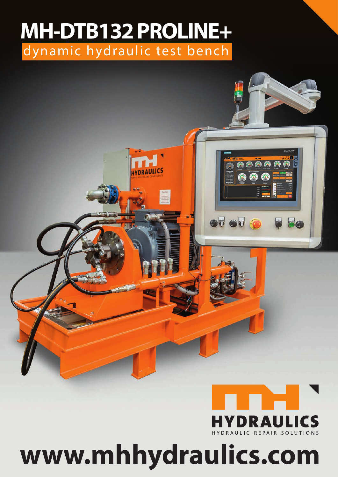## dynamic hydraulic test bench **MH-DTB132 PROLINE+**

DRAULICS



<mark>෧෧෧ඁ෧෧෧</mark>

6 ය

86

 $\bullet$ <sup> $\bullet$ </sup> $\bullet$ 

## **www.mhhydraulics.com**